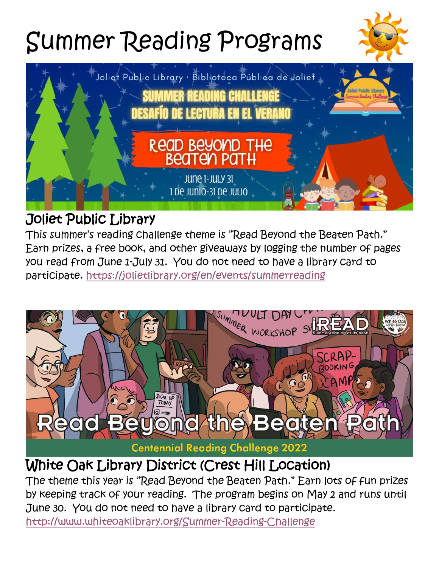# Summer Reading Programs





## Joliet Public Library

This summer's reading challenge theme is "Read Beyond the Beaten Path." Earn prizes, a free book, and other giveaways by logging the number of pages you read from June 1-July 31. You do not need to have a library card to participate.<https://jolietlibrary.org/en/events/summerreading>



# White Oak Library District (Crest Hill Location)

The theme this year is "Read Beyond the Beaten Path." Earn lots of fun prizes by keeping track of your reading. The program begins on May 2 and runs until June 30. You do not need to have a library card to participate. <http://www.whiteoaklibrary.org/Summer-Reading-Challenge>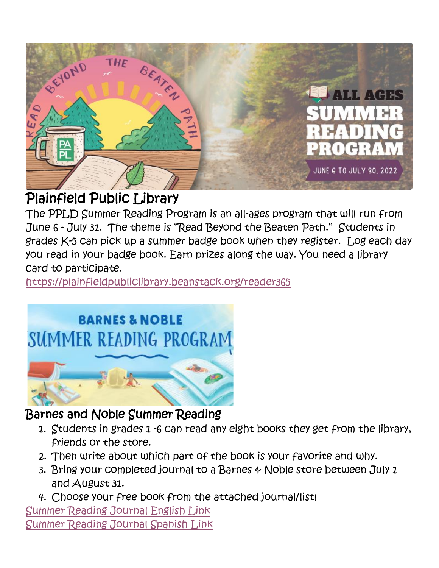

# Plainfield Public Library

The PPLD Summer Reading Program is an all-ages program that will run from June 6 - July 31. The theme is "Read Beyond the Beaten Path." Students in grades K-5 can pick up a summer badge book when they register. Log each day you read in your badge book. Earn prizes along the way. You need a library card to participate.

<https://plainfieldpubliclibrary.beanstack.org/reader365>

# **BARNES & NOBLE** SUMMER READING PROGRAM



### Barnes and Noble Summer Reading

- 1. Students in grades 1 -6 can read any eight books they get from the library, friends or the store.
- 2. Then write about which part of the book is your favorite and why.
- 3. Bring your completed journal to a Barnes & Noble store between July 1 and August 31.
- 4. Choose your free book from the attached journal/list!

[Summer Reading Journal English Link](https://dispatch.barnesandnoble.com/content/dam/ccr/h/summer-reading/2022/126443-06BNJournalSheetPrintable.pdf) [Summer Reading Journal Spanish Link](https://dispatch.barnesandnoble.com/content/dam/ccr/h/summer-reading/2022/126443-03.BN.SpanishJournalSheetPrintable.pdf)